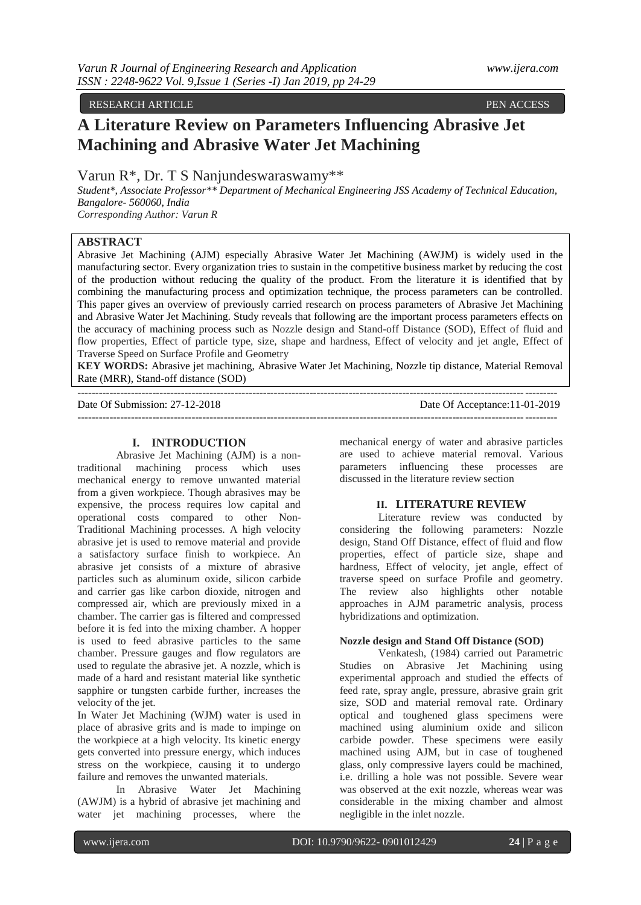RESEARCH ARTICLE PEN ACCESS

# **A Literature Review on Parameters Influencing Abrasive Jet Machining and Abrasive Water Jet Machining**

Varun R\*, Dr. T S Nanjundeswaraswamy\*\*

*Student\*, Associate Professor\*\* Department of Mechanical Engineering JSS Academy of Technical Education, Bangalore- 560060, India Corresponding Author: Varun R*

**ABSTRACT**

Abrasive Jet Machining (AJM) especially Abrasive Water Jet Machining (AWJM) is widely used in the manufacturing sector. Every organization tries to sustain in the competitive business market by reducing the cost of the production without reducing the quality of the product. From the literature it is identified that by combining the manufacturing process and optimization technique, the process parameters can be controlled. This paper gives an overview of previously carried research on process parameters of Abrasive Jet Machining and Abrasive Water Jet Machining. Study reveals that following are the important process parameters effects on the accuracy of machining process such as Nozzle design and Stand-off Distance (SOD), Effect of fluid and flow properties, Effect of particle type, size, shape and hardness, Effect of velocity and jet angle, Effect of Traverse Speed on Surface Profile and Geometry

**KEY WORDS:** Abrasive jet machining, Abrasive Water Jet Machining, Nozzle tip distance, Material Removal Rate (MRR), Stand-off distance (SOD)

| Date Of Submission: 27-12-2018 | Date Of Acceptance: 11-01-2019 |
|--------------------------------|--------------------------------|
|                                |                                |

## **I. INTRODUCTION**

Abrasive Jet Machining (AJM) is a nontraditional machining process which uses mechanical energy to remove unwanted material from a given workpiece. Though abrasives may be expensive, the process requires low capital and operational costs compared to other Non-Traditional Machining processes. A high velocity abrasive jet is used to remove material and provide a satisfactory surface finish to workpiece. An abrasive jet consists of a mixture of abrasive particles such as aluminum oxide, silicon carbide and carrier gas like carbon dioxide, nitrogen and compressed air, which are previously mixed in a chamber. The carrier gas is filtered and compressed before it is fed into the mixing chamber. A hopper is used to feed abrasive particles to the same chamber. Pressure gauges and flow regulators are used to regulate the abrasive jet. A nozzle, which is made of a hard and resistant material like synthetic sapphire or tungsten carbide further, increases the velocity of the jet.

In Water Jet Machining (WJM) water is used in place of abrasive grits and is made to impinge on the workpiece at a high velocity. Its kinetic energy gets converted into pressure energy, which induces stress on the workpiece, causing it to undergo failure and removes the unwanted materials.

In Abrasive Water Jet Machining (AWJM) is a hybrid of abrasive jet machining and water jet machining processes, where the mechanical energy of water and abrasive particles are used to achieve material removal. Various parameters influencing these processes are discussed in the literature review section

# **II. LITERATURE REVIEW**

Literature review was conducted by considering the following parameters: Nozzle design, Stand Off Distance, effect of fluid and flow properties, effect of particle size, shape and hardness, Effect of velocity, jet angle, effect of traverse speed on surface Profile and geometry. The review also highlights other notable approaches in AJM parametric analysis, process hybridizations and optimization.

## **Nozzle design and Stand Off Distance (SOD)**

Venkatesh, (1984) carried out Parametric Studies on Abrasive Jet Machining using experimental approach and studied the effects of feed rate, spray angle, pressure, abrasive grain grit size, SOD and material removal rate. Ordinary optical and toughened glass specimens were machined using aluminium oxide and silicon carbide powder. These specimens were easily machined using AJM, but in case of toughened glass, only compressive layers could be machined, i.e. drilling a hole was not possible. Severe wear was observed at the exit nozzle, whereas wear was considerable in the mixing chamber and almost negligible in the inlet nozzle.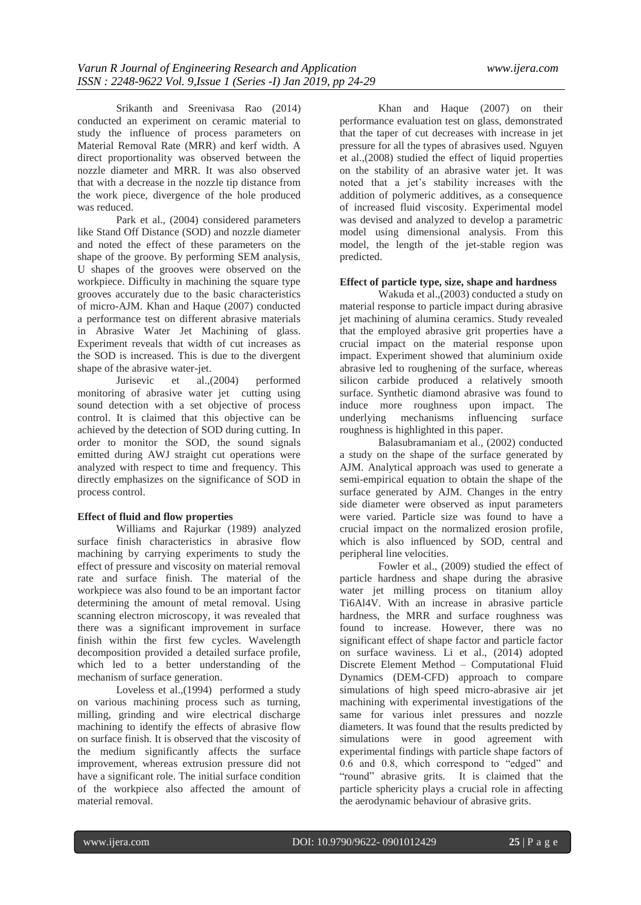Srikanth and Sreenivasa Rao (2014) conducted an experiment on ceramic material to study the influence of process parameters on Material Removal Rate (MRR) and kerf width. A direct proportionality was observed between the nozzle diameter and MRR. It was also observed that with a decrease in the nozzle tip distance from the work piece, divergence of the hole produced was reduced.

Park et al., (2004) considered parameters like Stand Off Distance (SOD) and nozzle diameter and noted the effect of these parameters on the shape of the groove. By performing SEM analysis, U shapes of the grooves were observed on the workpiece. Difficulty in machining the square type grooves accurately due to the basic characteristics of micro-AJM. Khan and Haque (2007) conducted a performance test on different abrasive materials in Abrasive Water Jet Machining of glass. Experiment reveals that width of cut increases as the SOD is increased. This is due to the divergent shape of the abrasive water-jet.

Jurisevic et al.,(2004) performed monitoring of abrasive water jet cutting using sound detection with a set objective of process control. It is claimed that this objective can be achieved by the detection of SOD during cutting. In order to monitor the SOD, the sound signals emitted during AWJ straight cut operations were analyzed with respect to time and frequency. This directly emphasizes on the significance of SOD in process control.

## **Effect of fluid and flow properties**

Williams and Rajurkar (1989) analyzed surface finish characteristics in abrasive flow machining by carrying experiments to study the effect of pressure and viscosity on material removal rate and surface finish. The material of the workpiece was also found to be an important factor determining the amount of metal removal. Using scanning electron microscopy, it was revealed that there was a significant improvement in surface finish within the first few cycles. Wavelength decomposition provided a detailed surface profile, which led to a better understanding of the mechanism of surface generation.

Loveless et al.,(1994) performed a study on various machining process such as turning, milling, grinding and wire electrical discharge machining to identify the effects of abrasive flow on surface finish. It is observed that the viscosity of the medium significantly affects the surface improvement, whereas extrusion pressure did not have a significant role. The initial surface condition of the workpiece also affected the amount of material removal.

Khan and Haque (2007) on their performance evaluation test on glass, demonstrated that the taper of cut decreases with increase in jet pressure for all the types of abrasives used. Nguyen et al.,(2008) studied the effect of liquid properties on the stability of an abrasive water jet. It was noted that a jet's stability increases with the addition of polymeric additives, as a consequence of increased fluid viscosity. Experimental model was devised and analyzed to develop a parametric model using dimensional analysis. From this model, the length of the jet-stable region was predicted.

#### **Effect of particle type, size, shape and hardness**

Wakuda et al.,(2003) conducted a study on material response to particle impact during abrasive jet machining of alumina ceramics. Study revealed that the employed abrasive grit properties have a crucial impact on the material response upon impact. Experiment showed that aluminium oxide abrasive led to roughening of the surface, whereas silicon carbide produced a relatively smooth surface. Synthetic diamond abrasive was found to induce more roughness upon impact. The underlying mechanisms influencing surface underlying mechanisms influencing surface roughness is highlighted in this paper.

Balasubramaniam et al., (2002) conducted a study on the shape of the surface generated by AJM. Analytical approach was used to generate a semi-empirical equation to obtain the shape of the surface generated by AJM. Changes in the entry side diameter were observed as input parameters were varied. Particle size was found to have a crucial impact on the normalized erosion profile, which is also influenced by SOD, central and peripheral line velocities.

Fowler et al., (2009) studied the effect of particle hardness and shape during the abrasive water jet milling process on titanium alloy Ti6Al4V. With an increase in abrasive particle hardness, the MRR and surface roughness was found to increase. However, there was no significant effect of shape factor and particle factor on surface waviness. Li et al., (2014) adopted Discrete Element Method – Computational Fluid Dynamics (DEM-CFD) approach to compare simulations of high speed micro-abrasive air jet machining with experimental investigations of the same for various inlet pressures and nozzle diameters. It was found that the results predicted by simulations were in good agreement with experimental findings with particle shape factors of 0.6 and 0.8, which correspond to "edged" and "round" abrasive grits. It is claimed that the particle sphericity plays a crucial role in affecting the aerodynamic behaviour of abrasive grits.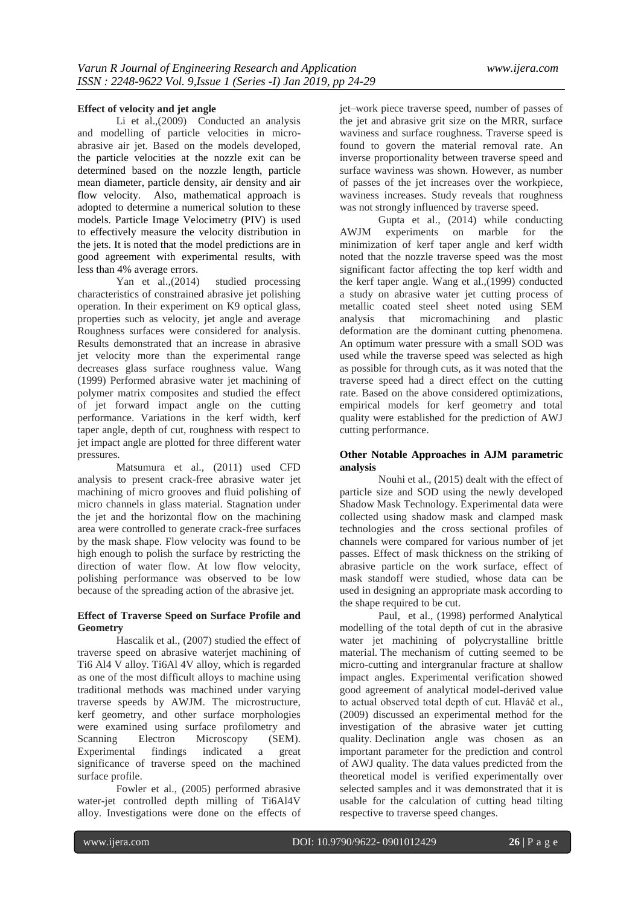## **Effect of velocity and jet angle**

Li et al., (2009) Conducted an analysis and modelling of particle velocities in microabrasive air jet. Based on the models developed, the particle velocities at the nozzle exit can be determined based on the nozzle length, particle mean diameter, particle density, air density and air flow velocity. Also, mathematical approach is adopted to determine a numerical solution to these models. Particle Image Velocimetry (PIV) is used to effectively measure the velocity distribution in the jets. It is noted that the model predictions are in good agreement with experimental results, with less than 4% average errors.

Yan et al.,(2014) studied processing characteristics of constrained abrasive jet polishing operation. In their experiment on K9 optical glass, properties such as velocity, jet angle and average Roughness surfaces were considered for analysis. Results demonstrated that an increase in abrasive jet velocity more than the experimental range decreases glass surface roughness value. Wang (1999) Performed abrasive water jet machining of polymer matrix composites and studied the effect of jet forward impact angle on the cutting performance. Variations in the kerf width, kerf taper angle, depth of cut, roughness with respect to jet impact angle are plotted for three different water pressures.

Matsumura et al., (2011) used CFD analysis to present crack-free abrasive water jet machining of micro grooves and fluid polishing of micro channels in glass material. Stagnation under the jet and the horizontal flow on the machining area were controlled to generate crack-free surfaces by the mask shape. Flow velocity was found to be high enough to polish the surface by restricting the direction of water flow. At low flow velocity, polishing performance was observed to be low because of the spreading action of the abrasive jet.

#### **Effect of Traverse Speed on Surface Profile and Geometry**

Hascalik et al., (2007) studied the effect of traverse speed on abrasive waterjet machining of Ti6 Al4 V alloy. Ti6Al 4V alloy, which is regarded as one of the most difficult alloys to machine using traditional methods was machined under varying traverse speeds by AWJM. The microstructure, kerf geometry, and other surface morphologies were examined using surface profilometry and Scanning Electron Microscopy (SEM). Experimental findings indicated a great significance of traverse speed on the machined surface profile.

Fowler et al., (2005) performed abrasive water-jet controlled depth milling of Ti6Al4V alloy. Investigations were done on the effects of jet–work piece traverse speed, number of passes of the jet and abrasive grit size on the MRR, surface waviness and surface roughness. Traverse speed is found to govern the material removal rate. An inverse proportionality between traverse speed and surface waviness was shown. However, as number of passes of the jet increases over the workpiece, waviness increases. Study reveals that roughness was not strongly influenced by traverse speed.

Gupta et al., (2014) while conducting AWJM experiments on marble for the minimization of kerf taper angle and kerf width noted that the nozzle traverse speed was the most significant factor affecting the top kerf width and the kerf taper angle. Wang et al.,(1999) conducted a study on abrasive water jet cutting process of metallic coated steel sheet noted using SEM analysis that micromachining and plastic deformation are the dominant cutting phenomena. An optimum water pressure with a small SOD was used while the traverse speed was selected as high as possible for through cuts, as it was noted that the traverse speed had a direct effect on the cutting rate. Based on the above considered optimizations, empirical models for kerf geometry and total quality were established for the prediction of AWJ cutting performance.

## **Other Notable Approaches in AJM parametric analysis**

Nouhi et al., (2015) dealt with the effect of particle size and SOD using the newly developed Shadow Mask Technology. Experimental data were collected using shadow mask and clamped mask technologies and the cross sectional profiles of channels were compared for various number of jet passes. Effect of mask thickness on the striking of abrasive particle on the work surface, effect of mask standoff were studied, whose data can be used in designing an appropriate mask according to the shape required to be cut.

Paul, et al., (1998) performed Analytical modelling of the total depth of cut in the abrasive water jet machining of polycrystalline brittle material. The mechanism of cutting seemed to be micro-cutting and intergranular fracture at shallow impact angles. Experimental verification showed good agreement of analytical model-derived value to actual observed total depth of cut. Hlaváč et al., (2009) discussed an experimental method for the investigation of the abrasive water jet cutting quality. Declination angle was chosen as an important parameter for the prediction and control of AWJ quality. The data values predicted from the theoretical model is verified experimentally over selected samples and it was demonstrated that it is usable for the calculation of cutting head tilting respective to traverse speed changes.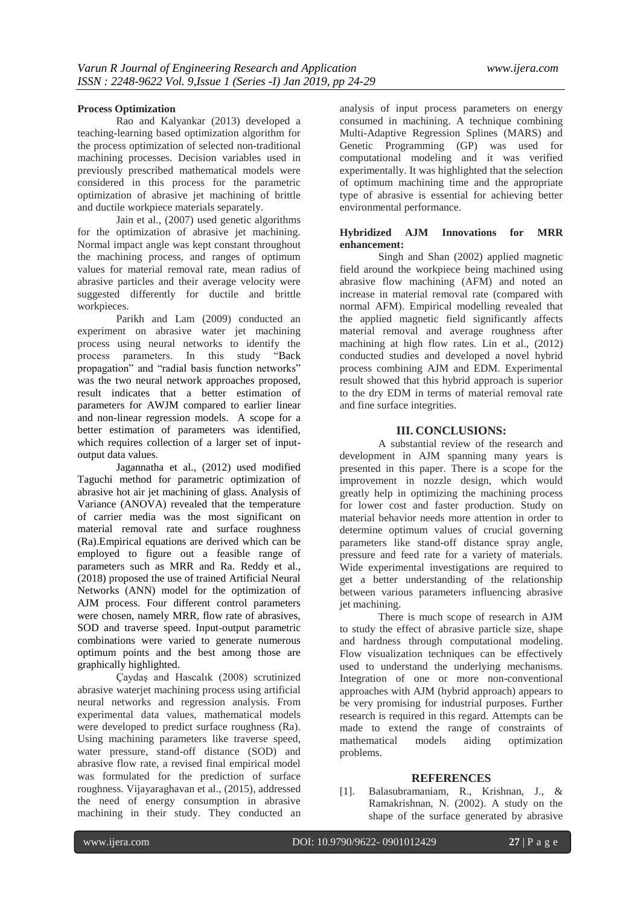## **Process Optimization**

Rao and Kalyankar (2013) developed a teaching-learning based optimization algorithm for the process optimization of selected non-traditional machining processes. Decision variables used in previously prescribed mathematical models were considered in this process for the parametric optimization of abrasive jet machining of brittle and ductile workpiece materials separately.

Jain et al., (2007) used genetic algorithms for the optimization of abrasive jet machining. Normal impact angle was kept constant throughout the machining process, and ranges of optimum values for material removal rate, mean radius of abrasive particles and their average velocity were suggested differently for ductile and brittle workpieces.

Parikh and Lam (2009) conducted an experiment on abrasive water jet machining process using neural networks to identify the process parameters. In this study "Back propagation" and "radial basis function networks" was the two neural network approaches proposed, result indicates that a better estimation of parameters for AWJM compared to earlier linear and non-linear regression models. A scope for a better estimation of parameters was identified, which requires collection of a larger set of inputoutput data values.

Jagannatha et al., (2012) used modified Taguchi method for parametric optimization of abrasive hot air jet machining of glass. Analysis of Variance (ANOVA) revealed that the temperature of carrier media was the most significant on material removal rate and surface roughness (Ra).Empirical equations are derived which can be employed to figure out a feasible range of parameters such as MRR and Ra. Reddy et al., (2018) proposed the use of trained Artificial Neural Networks (ANN) model for the optimization of AJM process. Four different control parameters were chosen, namely MRR, flow rate of abrasives, SOD and traverse speed. Input-output parametric combinations were varied to generate numerous optimum points and the best among those are graphically highlighted.

Çaydaş and Hascalık (2008) scrutinized abrasive waterjet machining process using artificial neural networks and regression analysis. From experimental data values, mathematical models were developed to predict surface roughness (Ra). Using machining parameters like traverse speed, water pressure, stand-off distance (SOD) and abrasive flow rate, a revised final empirical model was formulated for the prediction of surface roughness. Vijayaraghavan et al., (2015), addressed the need of energy consumption in abrasive machining in their study. They conducted an analysis of input process parameters on energy consumed in machining. A technique combining Multi-Adaptive Regression Splines (MARS) and Genetic Programming (GP) was used for computational modeling and it was verified experimentally. It was highlighted that the selection of optimum machining time and the appropriate type of abrasive is essential for achieving better environmental performance.

## **Hybridized AJM Innovations for MRR enhancement:**

Singh and Shan (2002) applied magnetic field around the workpiece being machined using abrasive flow machining (AFM) and noted an increase in material removal rate (compared with normal AFM). Empirical modelling revealed that the applied magnetic field significantly affects material removal and average roughness after machining at high flow rates. Lin et al., (2012) conducted studies and developed a novel hybrid process combining AJM and EDM. Experimental result showed that this hybrid approach is superior to the dry EDM in terms of material removal rate and fine surface integrities.

# **III. CONCLUSIONS:**

A substantial review of the research and development in AJM spanning many years is presented in this paper. There is a scope for the improvement in nozzle design, which would greatly help in optimizing the machining process for lower cost and faster production. Study on material behavior needs more attention in order to determine optimum values of crucial governing parameters like stand-off distance spray angle, pressure and feed rate for a variety of materials. Wide experimental investigations are required to get a better understanding of the relationship between various parameters influencing abrasive jet machining.

There is much scope of research in AJM to study the effect of abrasive particle size, shape and hardness through computational modeling. Flow visualization techniques can be effectively used to understand the underlying mechanisms. Integration of one or more non-conventional approaches with AJM (hybrid approach) appears to be very promising for industrial purposes. Further research is required in this regard. Attempts can be made to extend the range of constraints of mathematical models aiding optimization problems.

#### **REFERENCES**

[1]. Balasubramaniam, R., Krishnan, J., & Ramakrishnan, N. (2002). A study on the shape of the surface generated by abrasive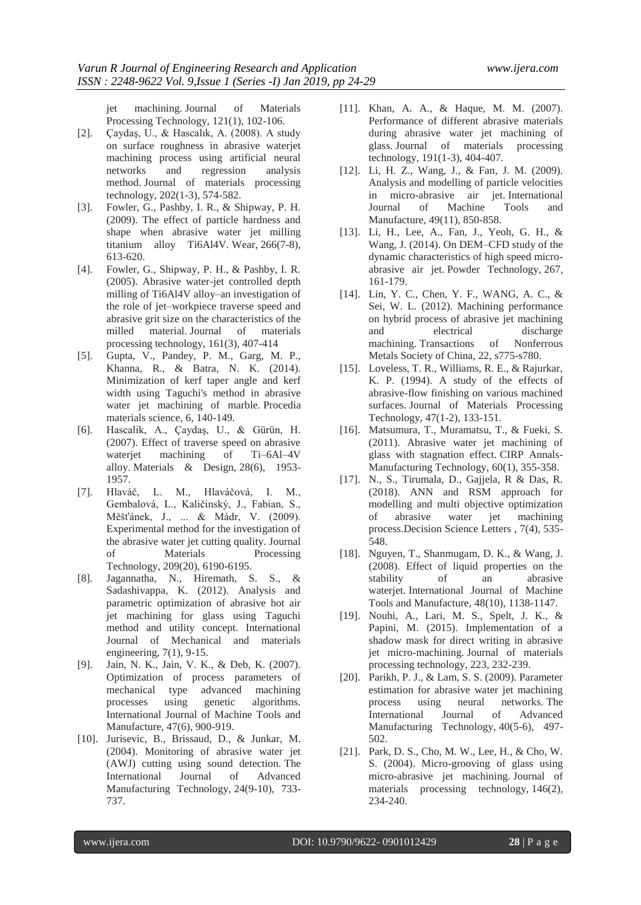jet machining. Journal of Materials Processing Technology, 121(1), 102-106.

- [2]. Çaydaş, U., & Hascalık, A. (2008). A study on surface roughness in abrasive waterjet machining process using artificial neural networks and regression analysis method. Journal of materials processing technology, 202(1-3), 574-582.
- [3]. Fowler, G., Pashby, I. R., & Shipway, P. H. (2009). The effect of particle hardness and shape when abrasive water jet milling titanium alloy Ti6Al4V. Wear, 266(7-8), 613-620.
- [4]. Fowler, G., Shipway, P. H., & Pashby, I. R. (2005). Abrasive water-jet controlled depth milling of Ti6Al4V alloy–an investigation of the role of jet–workpiece traverse speed and abrasive grit size on the characteristics of the milled material. Journal of materials processing technology, 161(3), 407-414
- [5]. Gupta, V., Pandey, P. M., Garg, M. P., Khanna, R., & Batra, N. K. (2014). Minimization of kerf taper angle and kerf width using Taguchi's method in abrasive water jet machining of marble. Procedia materials science, 6, 140-149.
- [6]. Hascalik, A., Çaydaş, U., & Gürün, H. (2007). Effect of traverse speed on abrasive waterjet machining of Ti–6Al–4V alloy. Materials & Design, 28(6), 1953- 1957.
- [7]. Hlaváč, L. M., Hlaváčová, I. M., Gembalová, L., Kaličinský, J., Fabian, S., Měšťánek, J., ... & Mádr, V. (2009). Experimental method for the investigation of the abrasive water jet cutting quality. Journal of Materials Processing Technology, 209(20), 6190-6195.
- [8]. Jagannatha, N., Hiremath, S. S., & Sadashivappa, K. (2012). Analysis and parametric optimization of abrasive hot air jet machining for glass using Taguchi method and utility concept. International Journal of Mechanical and materials engineering, 7(1), 9-15.
- [9]. Jain, N. K., Jain, V. K., & Deb, K. (2007). Optimization of process parameters of mechanical type advanced machining processes using genetic algorithms. International Journal of Machine Tools and Manufacture, 47(6), 900-919.
- [10]. Jurisevic, B., Brissaud, D., & Junkar, M. (2004). Monitoring of abrasive water jet (AWJ) cutting using sound detection. The International Journal of Advanced Manufacturing Technology, 24(9-10), 733- 737.
- [11]. Khan, A. A., & Haque, M. M. (2007). Performance of different abrasive materials during abrasive water jet machining of glass. Journal of materials processing technology, 191(1-3), 404-407.
- [12]. Li, H. Z., Wang, J., & Fan, J. M. (2009). Analysis and modelling of particle velocities in micro-abrasive air jet. International Journal of Machine Tools and Manufacture, 49(11), 850-858.
- [13]. Li, H., Lee, A., Fan, J., Yeoh, G. H., & Wang, J. (2014). On DEM–CFD study of the dynamic characteristics of high speed microabrasive air jet. Powder Technology, 267, 161-179.
- [14]. Lin, Y. C., Chen, Y. F., WANG, A. C., & Sei, W. L. (2012). Machining performance on hybrid process of abrasive jet machining and electrical discharge machining. Transactions of Nonferrous Metals Society of China, 22, s775-s780.
- [15]. Loveless, T. R., Williams, R. E., & Rajurkar, K. P. (1994). A study of the effects of abrasive-flow finishing on various machined surfaces. Journal of Materials Processing Technology, 47(1-2), 133-151.
- [16]. Matsumura, T., Muramatsu, T., & Fueki, S. (2011). Abrasive water jet machining of glass with stagnation effect. CIRP Annals-Manufacturing Technology, 60(1), 355-358.
- [17]. N., S., Tirumala, D., Gajjela, R & Das, R. (2018). ANN and RSM approach for modelling and multi objective optimization<br>of abrasive water jet machining of abrasive water jet machining process.Decision Science Letters , 7(4), 535- 548.
- [18]. Nguyen, T., Shanmugam, D. K., & Wang, J. (2008). Effect of liquid properties on the stability of an abrasive waterjet. International Journal of Machine Tools and Manufacture, 48(10), 1138-1147.
- [19]. Nouhi, A., Lari, M. S., Spelt, J. K., & Papini, M. (2015). Implementation of a shadow mask for direct writing in abrasive jet micro-machining. Journal of materials processing technology, 223, 232-239.
- [20]. Parikh, P. J., & Lam, S. S. (2009). Parameter estimation for abrasive water jet machining process using neural networks. The International Journal of Advanced Manufacturing Technology, 40(5-6), 497- 502.
- [21]. Park, D. S., Cho, M. W., Lee, H., & Cho, W. S. (2004). Micro-grooving of glass using micro-abrasive jet machining. Journal of materials processing technology, 146(2), 234-240.